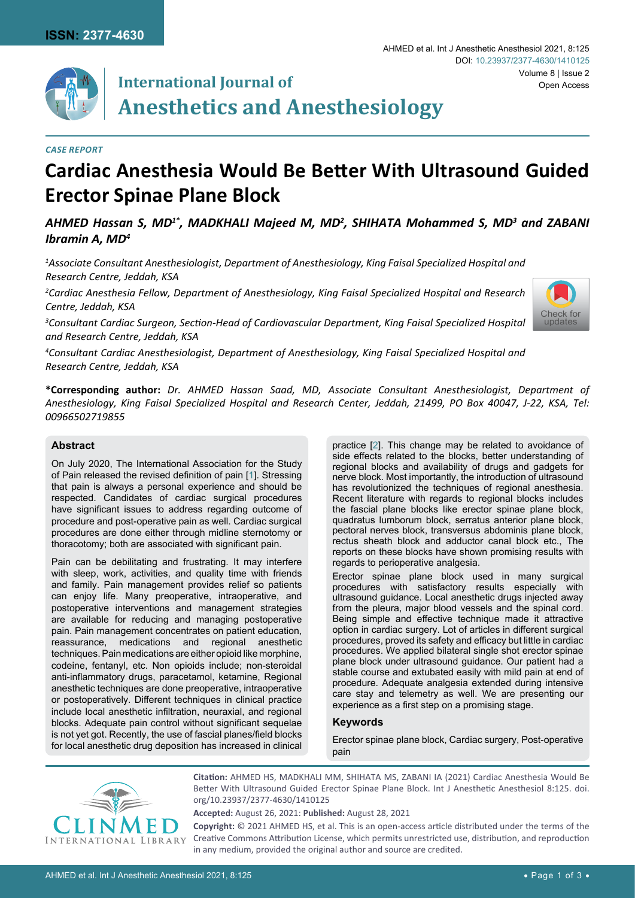

# **International Journal of Anesthetics and Anesthesiology**

#### *Case Report*

# **Cardiac Anesthesia Would Be Better With Ultrasound Guided Erector Spinae Plane Block**

## AHMED Hassan S, MD<sup>1\*</sup>, MADKHALI Majeed M, MD<sup>2</sup>, SHIHATA Mohammed S, MD<sup>3</sup> and ZABANI *Ibramin A, MD4*

*1 Associate Consultant Anesthesiologist, Department of Anesthesiology, King Faisal Specialized Hospital and Research Centre, Jeddah, KSA*

*2 Cardiac Anesthesia Fellow, Department of Anesthesiology, King Faisal Specialized Hospital and Research Centre, Jeddah, KSA*

*3 Consultant Cardiac Surgeon, Section-Head of Cardiovascular Department, King Faisal Specialized Hospital and Research Centre, Jeddah, KSA*

*4 Consultant Cardiac Anesthesiologist, Department of Anesthesiology, King Faisal Specialized Hospital and Research Centre, Jeddah, KSA*

**\*Corresponding author:** *Dr. AHMED Hassan Saad, MD, Associate Consultant Anesthesiologist, Department of Anesthesiology, King Faisal Specialized Hospital and Research Center, Jeddah, 21499, PO Box 40047, J-22, KSA, Tel: 00966502719855*

#### **Abstract**

On July 2020, The International Association for the Study of Pain released the revised definition of pain [[1](#page-1-0)]. Stressing that pain is always a personal experience and should be respected. Candidates of cardiac surgical procedures have significant issues to address regarding outcome of procedure and post-operative pain as well. Cardiac surgical procedures are done either through midline sternotomy or thoracotomy; both are associated with significant pain.

Pain can be debilitating and frustrating. It may interfere with sleep, work, activities, and quality time with friends and family. Pain management provides relief so patients can enjoy life. Many preoperative, intraoperative, and postoperative interventions and management strategies are available for reducing and managing postoperative pain. Pain management concentrates on patient education, reassurance, medications and regional anesthetic techniques. Pain medications are either opioid like morphine, codeine, fentanyl, etc. Non opioids include; non-steroidal anti-inflammatory drugs, paracetamol, ketamine, Regional anesthetic techniques are done preoperative, intraoperative or postoperatively. Different techniques in clinical practice include local anesthetic infiltration, neuraxial, and regional blocks. Adequate pain control without significant sequelae is not yet got. Recently, the use of fascial planes/field blocks for local anesthetic drug deposition has increased in clinical practice [[2](#page-1-1)]. This change may be related to avoidance of side effects related to the blocks, better understanding of regional blocks and availability of drugs and gadgets for nerve block. Most importantly, the introduction of ultrasound has revolutionized the techniques of regional anesthesia. Recent literature with regards to regional blocks includes the fascial plane blocks like erector spinae plane block, quadratus lumborum block, serratus anterior plane block, pectoral nerves block, transversus abdominis plane block, rectus sheath block and adductor canal block etc., The reports on these blocks have shown promising results with regards to perioperative analgesia.

Erector spinae plane block used in many surgical procedures with satisfactory results especially with ultrasound guidance. Local anesthetic drugs injected away from the pleura, major blood vessels and the spinal cord. Being simple and effective technique made it attractive option in cardiac surgery. Lot of articles in different surgical procedures, proved its safety and efficacy but little in cardiac procedures. We applied bilateral single shot erector spinae plane block under ultrasound guidance. Our patient had a stable course and extubated easily with mild pain at end of procedure. Adequate analgesia extended during intensive care stay and telemetry as well. We are presenting our experience as a first step on a promising stage.

#### **Keywords**

Erector spinae plane block, Cardiac surgery, Post-operative pain



**Citation:** AHMED HS, MADKHALI MM, SHIHATA MS, ZABANI IA (2021) Cardiac Anesthesia Would Be Better With Ultrasound Guided Erector Spinae Plane Block. Int J Anesthetic Anesthesiol 8:125. [doi.](https://doi.org/10.23937/2377-4630/1410125) [org/10.23937/2377-4630/1410125](https://doi.org/10.23937/2377-4630/1410125)

**Accepted:** August 26, 2021: **Published:** August 28, 2021

**Copyright:** © 2021 AHMED HS, et al. This is an open-access article distributed under the terms of the Creative Commons Attribution License, which permits unrestricted use, distribution, and reproduction in any medium, provided the original author and source are credited.

[Check for](http://crossmark.crossref.org/dialog/?doi=10.23937/2377-4630/1410125&domain=pdf) updates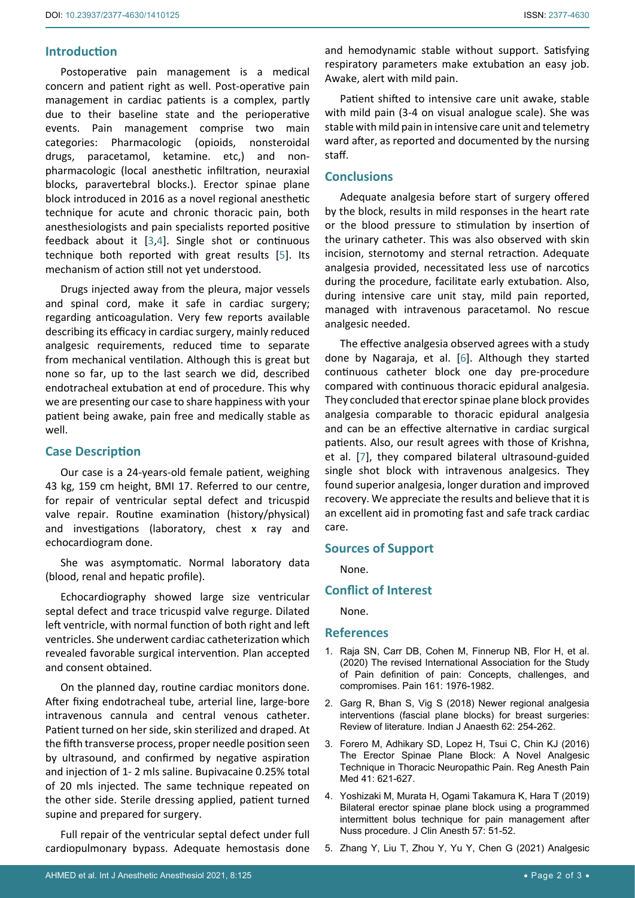## **Introduction**

Postoperative pain management is a medical concern and patient right as well. Post-operative pain management in cardiac patients is a complex, partly due to their baseline state and the perioperative events. Pain management comprise two main categories: Pharmacologic (opioids, nonsteroidal drugs, paracetamol, ketamine. etc,) and nonpharmacologic (local anesthetic infiltration, neuraxial blocks, paravertebral blocks.). Erector spinae plane block introduced in 2016 as a novel regional anesthetic technique for acute and chronic thoracic pain, both anesthesiologists and pain specialists reported positive feedback about it [[3](#page-1-2),[4\]](#page-1-3). Single shot or continuous technique both reported with great results [[5](#page-1-4)]. Its mechanism of action still not yet understood.

Drugs injected away from the pleura, major vessels and spinal cord, make it safe in cardiac surgery; regarding anticoagulation. Very few reports available describing its efficacy in cardiac surgery, mainly reduced analgesic requirements, reduced time to separate from mechanical ventilation. Although this is great but none so far, up to the last search we did, described endotracheal extubation at end of procedure. This why we are presenting our case to share happiness with your patient being awake, pain free and medically stable as well.

## **Case Description**

Our case is a 24-years-old female patient, weighing 43 kg, 159 cm height, BMI 17. Referred to our centre, for repair of ventricular septal defect and tricuspid valve repair. Routine examination (history/physical) and investigations (laboratory, chest x ray and echocardiogram done.

She was asymptomatic. Normal laboratory data (blood, renal and hepatic profile).

Echocardiography showed large size ventricular septal defect and trace tricuspid valve regurge. Dilated left ventricle, with normal function of both right and left ventricles. She underwent cardiac catheterization which revealed favorable surgical intervention. Plan accepted and consent obtained.

On the planned day, routine cardiac monitors done. After fixing endotracheal tube, arterial line, large-bore intravenous cannula and central venous catheter. Patient turned on her side, skin sterilized and draped. At the fifth transverse process, proper needle position seen by ultrasound, and confirmed by negative aspiration and injection of 1- 2 mls saline. Bupivacaine 0.25% total of 20 mls injected. The same technique repeated on the other side. Sterile dressing applied, patient turned supine and prepared for surgery.

Full repair of the ventricular septal defect under full cardiopulmonary bypass. Adequate hemostasis done and hemodynamic stable without support. Satisfying respiratory parameters make extubation an easy job. Awake, alert with mild pain.

Patient shifted to intensive care unit awake, stable with mild pain (3-4 on visual analogue scale). She was stable with mild pain in intensive care unit and telemetry ward after, as reported and documented by the nursing staff.

# **Conclusions**

Adequate analgesia before start of surgery offered by the block, results in mild responses in the heart rate or the blood pressure to stimulation by insertion of the urinary catheter. This was also observed with skin incision, sternotomy and sternal retraction. Adequate analgesia provided, necessitated less use of narcotics during the procedure, facilitate early extubation. Also, during intensive care unit stay, mild pain reported, managed with intravenous paracetamol. No rescue analgesic needed.

The effective analgesia observed agrees with a study done by Nagaraja, et al. [[6](#page-2-0)]. Although they started continuous catheter block one day pre-procedure compared with continuous thoracic epidural analgesia. They concluded that erector spinae plane block provides analgesia comparable to thoracic epidural analgesia and can be an effective alternative in cardiac surgical patients. Also, our result agrees with those of Krishna, et al. [\[7\]](#page-2-1), they compared bilateral ultrasound-guided single shot block with intravenous analgesics. They found superior analgesia, longer duration and improved recovery. We appreciate the results and believe that it is an excellent aid in promoting fast and safe track cardiac care.

### **Sources of Support**

None.

## **Conflict of Interest**

None.

### **References**

- <span id="page-1-0"></span>1. [Raja SN, Carr DB, Cohen M, Finnerup NB, Flor H,](https://pubmed.ncbi.nlm.nih.gov/32694387/) et al. [\(2020\) The revised International Association for the Study](https://pubmed.ncbi.nlm.nih.gov/32694387/)  [of Pain definition of pain: Concepts, challenges, and](https://pubmed.ncbi.nlm.nih.gov/32694387/)  [compromises. Pain 161: 1976-1982.](https://pubmed.ncbi.nlm.nih.gov/32694387/)
- <span id="page-1-1"></span>2. [Garg R, Bhan S, Vig S \(2018\) Newer regional analgesia](https://pubmed.ncbi.nlm.nih.gov/29720750/)  [interventions \(fascial plane blocks\) for breast surgeries:](https://pubmed.ncbi.nlm.nih.gov/29720750/)  [Review of literature. Indian J Anaesth 62: 254-262.](https://pubmed.ncbi.nlm.nih.gov/29720750/)
- <span id="page-1-2"></span>3. [Forero M, Adhikary SD, Lopez H, Tsui C, Chin KJ \(2016\)](https://pennstate.pure.elsevier.com/en/publications/the-erector-spinae-plane-block-a-novel-analgesic-technique-in-tho)  [The Erector Spinae Plane Block: A Novel Analgesic](https://pennstate.pure.elsevier.com/en/publications/the-erector-spinae-plane-block-a-novel-analgesic-technique-in-tho)  [Technique in Thoracic Neuropathic Pain. Reg Anesth Pain](https://pennstate.pure.elsevier.com/en/publications/the-erector-spinae-plane-block-a-novel-analgesic-technique-in-tho)  [Med 41: 621-627.](https://pennstate.pure.elsevier.com/en/publications/the-erector-spinae-plane-block-a-novel-analgesic-technique-in-tho)
- <span id="page-1-3"></span>4. [Yoshizaki M, Murata H, Ogami Takamura K, Hara T \(2019\)](https://pubmed.ncbi.nlm.nih.gov/30852328/)  [Bilateral erector spinae plane block using a programmed](https://pubmed.ncbi.nlm.nih.gov/30852328/)  [intermittent bolus technique for pain management after](https://pubmed.ncbi.nlm.nih.gov/30852328/)  [Nuss procedure. J Clin Anesth 57: 51-52.](https://pubmed.ncbi.nlm.nih.gov/30852328/)
- <span id="page-1-4"></span>5. [Zhang Y, Liu T, Zhou Y, Yu Y, Chen G \(2021\) Analgesic](https://bmcanesthesiol.biomedcentral.com/articles/10.1186/s12871-021-01277-x)